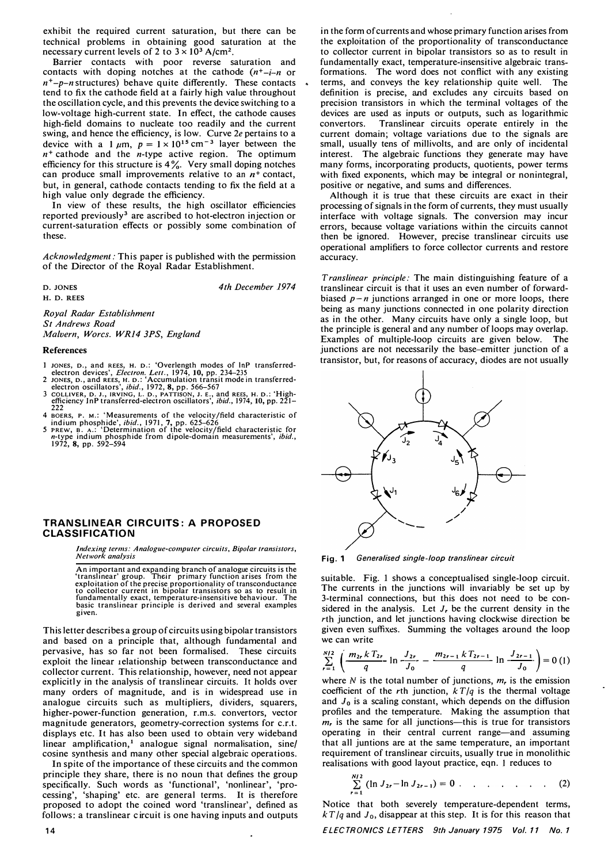exhibit the required current saturation, but there can be technical problems in obtaining good saturation at the necessary current levels of 2 to  $3 \times 10^3$  A/cm<sup>2</sup>.

Barrier contacts with poor reverse saturation and contacts with doping notches at the cathode  $(n^+ - i - n)$  or  $n^+$ -p-n structures) behave quite differently. These contacts tend to fix the cathode field at a fairly high value throughout the oscillation cycle, and this prevents the device switching to a low-voltage high-current state. In effect, the cathode causes high-field domains to nucleate too readily and the current swing, and hence the efficiency, is low. Curve *2e* pertains to a device with a 1  $\mu$ m,  $p = 1 \times 10^{15}$  cm<sup>-3</sup> layer between the  $n^+$  cathode and the *n*-type active region. The optimum efficiency for this structure is 4%. Very small doping notches can produce small improvements relative to an  $n^+$  contact, but, in general, cathode contacts tending to fix the field at a high value only degrade the efficiency.

In view of these results, the high oscillator efficiencies reported previous1y**3** are ascribed to hot-electron injection or current-saturation effects or possibly some combination of these.

*Acknowledgment:* This paper is published with the permission of the Director of the Royal Radar Establishment.

**D. JONES H. D. REES**  *4th December 1974* 

*Royal Radar Establishment St Andrews Road Malvern, Worcs. WR14 JPS, England* 

## **References**

- <sup>1</sup>**JONES, o.,** and **REES, H. o.:** 'Overlength modes of lnP transferred-electron devices', *Electron. Lett.,* 1974, **10,** pp. 234-235
- 2 JONES, D., and REES, H. D.: 'Accumulation transit mode in transferred-<br>electron oscillators', *ibid.*, 1972, 8, pp. 566–567<br>COLLIVER, D. J., JRVING, L. D., PATTISON, J. E., and REES, H. D.: 'High-<br>efficiency InP transfer
- 
- 
- 222<br>4 BOERS, P. M.: 'Measurements of the velocity/field characteristic of<br>indium phosphide', *ibid.*, 1971, 7, pp. 625–626<br>5 PREW, B. A.: 'Determination of the velocity/field characteristic for<br>*n*-type indium phosphide f

## **TRANSLINEAR CIRCUITS: A PROPOSED CLASSIFICATION**

*Indexing terms: Analogue-computer circuits, Bipolar transistors, Network analysis* 

An important and expanding branch of analogue circuits is the 'translinear' group. Their primary function arises from the exploitation of the precise proportionality of transconductance to collector current in bipolar transistors so as to result in fundamentally exact, temperature-insensitive behaviour. The basic translinear principle is derived and several examples given.

This letter describes a group of circuits using bipolar transistors and based on a principle that, although fundamental and pervasive, has so far not been formalised. These circuits exploit the linear 1elationship between transconductance and collector current. This relationship, however, need not appear explicitly in the analysis of transJinear circuits. It holds over many orders of magnitude, and is in widespread use in analogue circuits such as multipliers, dividers, squarers, higher-power-function generation, r.m.s. convertors, vector magnitude generators, geometry-correction systems for c.r. t. displays etc. It has also been used to obtain very wideband linear amplification,<sup>1</sup> analogue signal normalisation, sine/ cosine synthesis and many other special algebraic operations.

In spite of the importance of these circuits and the common principle they share, there is no noun that defines the group specifically. Such words as 'functional', 'nonlinear', 'processing', 'shaping' etc. are general terms. It is therefore proposed to adopt the coined word 'translinear', defined as follows: a translinear circuit is one having inputs and outputs

**14** 

in the form of currents and whose primary function arises from the exploitation of the proportionality of transconductance to collector current in bipolar transistors so as to result in fundamentally exact, temperature-insensitive algebraic transformations. The word does not conflict with any existing terms, and conveys the key relationship quite well. The definition is precise, and excludes any circuits based on precision transistors in which the terminal voltages of the devices are used as inputs or outputs, such as logarithmic convertors. Translinear circuits operate entirely in the current domain; voltage variations due to the signals are small, usually tens of millivolts, and are only of incidental interest. The algebraic functions they generate may have many forms, incorporating products, quotients, power terms with fixed exponents, which may be integral or nonintegral, positive or negative, and sums and differences.

Although it is true that these circuits are exact in their processing of signals in the form of currents, they must usually interface with voltage signals. The conversion may incur errors, because voltage variations within the circuits cannot then be ignored. However, precise translinear circuits use operational amplifiers to force collector currents and restore accuracy.

*Trans linear principle:* The main distinguishing feature of a translinear circuit is that it uses an even number of forwardbiased  $p - n$  junctions arranged in one or more loops, there being as many junctions connected in one polarity direction as in the other. Many circuits have only a single loop, but the principle is general and any number of loops may overlap. Examples of multiple-loop circuits are given below. The junctions are not necessarily the base-emitter junction of a transistor, but, for reasons of accuracy, diodes are not usually



**Fig. 1** *Generalised single-loop translinear circuit* 

suitable. Fig. 1 shows a conceptualised single-loop circuit. The currents in the junctions will invariably be set up by 3-terminal connections, but this does not need to be considered in the analysis. Let *Jr* be the current density in the *rth* junction, and let junctions having clockwise direction be given even suffixes. Summing the voltages around the loop we can write

$$
\sum_{r=1}^{N/2} \left( \frac{m_{2r} k T_{2r}}{q} \ln \frac{J_{2r}}{J_0} - \frac{m_{2r-1} k T_{2r-1}}{q} \ln \frac{J_{2r-1}}{J_0} \right) = 0 \tag{1}
$$

where *N* is the total number of junctions, *mr* is the emission coefficient of the *rth* junction, *k T /q* is the thermal voltage and  $J_0$  is a scaling constant, which depends on the diffusion profiles and the temperature. Making the assumption that  $m<sub>r</sub>$  is the same for all junctions--this is true for transistors operating in their central current range-and assuming that all juntions are at the same temperature, an important requirement of translinear circuits, usually true in monolithic realisations with good layout practice, eqn. 1 reduces to

$$
\sum_{r=1}^{N/2} (\ln J_{2r} - \ln J_{2r-1}) = 0 \qquad \qquad (2)
$$

Notice that both severely temperature-dependent terms,  $kT/q$  and  $J_0$ , disappear at this step. It is for this reason that

*ELECTRON/CS LETTERS 9th January 1975 Vol. 11 No. 1*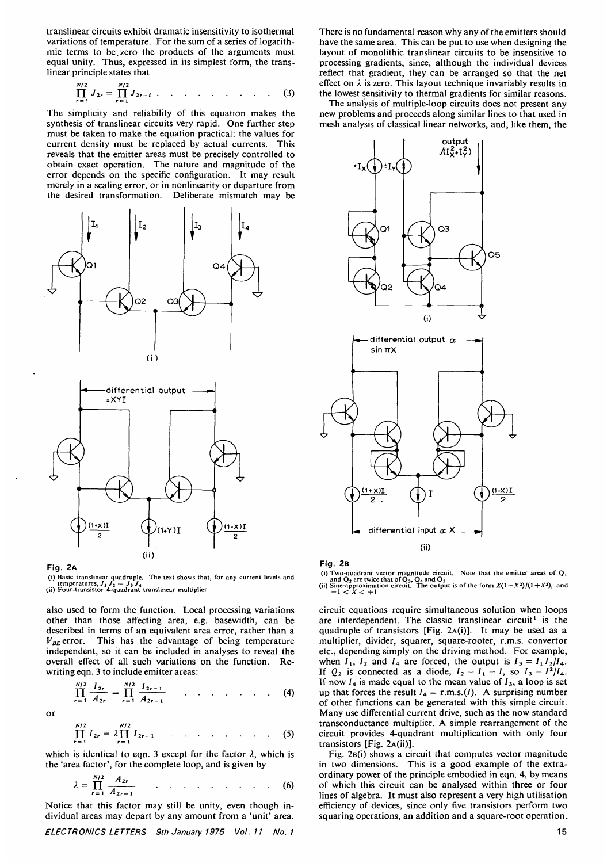translinear circuits exhibit dramatic insensitivity to isothermal mic terms to be zero the products of the arguments must equal unity. Thus, expressed in its simplest form, the trans- linear principle states that

$$
\prod_{r=1}^{N/2} J_{2r} = \prod_{r=1}^{N/2} J_{2r-1} \qquad \qquad \dots \qquad \dots \qquad \dots \qquad (3)
$$

The simplicity and reliability of this equation makes the synthesis of translinear circuits very rapid. One further step must be taken to make the equation practical: the values for<br>current density must be replaced by actual currents. This current density must be replaced by actual currents. reveals that the emitter areas must be precisely controlled to obtain exact operation. The nature and magnitude of the error depends on the specific configuration. It may result merely in a scaling error, or in nonlinearity or departure from the desired transformation. Deliberate mismatch may be





Fig. 2A

(i) Basic translinear quadruple. The text shows that, for any current levels and temperatures.  $J_1 J_2 = J_2 J_3$ . temperatures,  $J_1 J_2 = J_3 J_4$ <br>(ii) Four-transistor 4-quadrant translinear multiplier

also used to form the function. Local processing variations other than those affecting area, e.g. basewidth, can be described in terms of an equivalent area error, rather than a  $V_{BE}$  error. This has the advantage of being temperature independent, so it can be included in analyses to reveal the overall effect of all such variations on the function. Re-<br>writing eqn. 3 to include emitter areas:

$$
\prod_{r=1}^{N/2} \frac{I_{2r}}{A_{2r}} = \prod_{r=1}^{N/2} \frac{I_{2r-1}}{A_{2r-1}} \qquad \qquad \ldots \qquad \qquad \ldots \qquad (4)
$$

or

$$
\prod_{r=1}^{N/2} I_{2r} = \lambda \prod_{r=1}^{N/2} I_{2r-1} \qquad \qquad \dots \qquad \dots \qquad \dots \qquad (5)
$$

which is identical to eqn. 3 except for the factor  $\lambda$ , which is the 'area factor', for the complete loop, and is given by

$$
\lambda = \prod_{r=1}^{N/2} \frac{A_{2r}}{A_{2r-1}}
$$
 (6)  
Notice that this factor may still be unity, even though in-

dividual areas may depart by any amount from a 'unit' area.

ELECTRONICS LETTERS 9th January 1975 Vol.11 No. 1

There is no fundamental reason why any of the emitters should have the same area. This can be put to use when designing the layout of monolithic translinear circuits to be insensitive to processing gradients, since, although the individual devices reflect that gradient, they can be arranged so that the net effect on  $\lambda$  is zero. This layout technique invariably results in

the lowest sensitivity to thermal gradients for similar reasons. The analysis of multiple-loop circuits does not present any new problems and proceeds along similar lines to that used in mesh analysis of classical linear networks, and, like them, the



Fig. 2B

(i) Two-quadrant vector magnitude circuit. Note that the emitter areas of  $Q_1$ <br>and  $Q_2$  are twice that of  $Q_3$ ,  $Q_4$  and  $Q_5$ <br>(ii) Sine-approximation circuit. The output is of the form  $X(1-X^2)/(1+X^2)$ , and<br> $-1 < X < +1$ 

circuit equations require simultaneous solution when loops are interdependent. The classic translinear circuit<sup>1</sup> is the quadruple of transistors [Fig. 2A(i)]. It may be used as a multiplier, divider, squarer, square-rooter, r.m.s. convertor etc., depending simply on the driving method. For example, when  $I_1$ ,  $I_2$  and  $I_4$  are forced, the output is  $I_3 = I_1 I_2/I_4$ . If  $Q_2$  is connected as a diode,  $I_2 = I_1 = I$ , so  $I_3 = I^2/I_4$ . If  $Q_2$  is connected as a diode,  $I_2 = I_1 = I$ , so  $I_3 = I^2/I_4$ .<br>If now  $I_4$  is made equal to the mean value of  $I_3$ , a loop is set up that forces the result  $I_4 = r.m.s.(I)$ . A surprising number of other functions can be generated with this simple circuit. Many use differential current drive, such as the now standard transconductance multiplier. A simple rearrangement of the circuit provides 4-quadrant multiplication with only four transistors [Fig. 2A(ii)].

Fig. 2B(1) shows a circuit that computes vector magnitude in two dimensions. This is a good example of the extra- ordinary power of the principle embodied in eqn. 4, by means of which this circuit can be analysed within three or four lines of algebra. It must also represent a very high utilisation efficiency of devices, since only five transistors perform two squaring operations, an addition and a square-root operation.